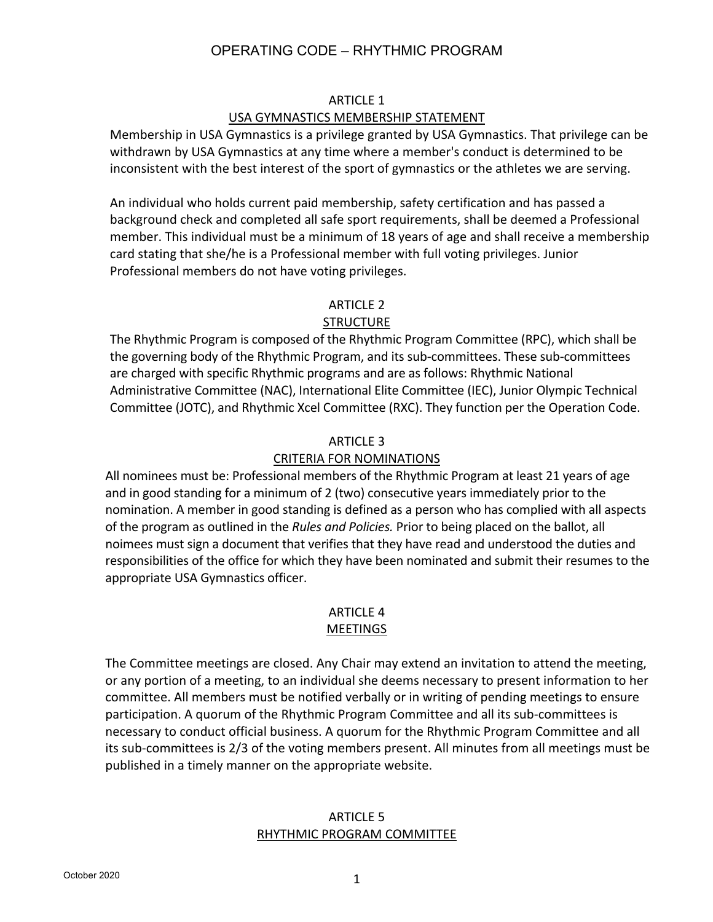#### ARTICLE 1

#### USA GYMNASTICS MEMBERSHIP STATEMENT

Membership in USA Gymnastics is a privilege granted by USA Gymnastics. That privilege can be withdrawn by USA Gymnastics at any time where a member's conduct is determined to be inconsistent with the best interest of the sport of gymnastics or the athletes we are serving.

An individual who holds current paid membership, safety certification and has passed a background check and completed all safe sport requirements, shall be deemed a Professional member. This individual must be a minimum of 18 years of age and shall receive a membership card stating that she/he is a Professional member with full voting privileges. Junior Professional members do not have voting privileges.

#### ARTICLE 2

#### **STRUCTURE**

The Rhythmic Program is composed of the Rhythmic Program Committee (RPC), which shall be the governing body of the Rhythmic Program, and its sub-committees. These sub-committees are charged with specific Rhythmic programs and are as follows: Rhythmic National Administrative Committee (NAC), International Elite Committee (IEC), Junior Olympic Technical Committee (JOTC), and Rhythmic Xcel Committee (RXC). They function per the Operation Code.

#### ARTICLE 3

#### CRITERIA FOR NOMINATIONS

All nominees must be: Professional members of the Rhythmic Program at least 21 years of age and in good standing for a minimum of 2 (two) consecutive years immediately prior to the nomination. A member in good standing is defined as a person who has complied with all aspects of the program as outlined in the *Rules and Policies.* Prior to being placed on the ballot, all noimees must sign a document that verifies that they have read and understood the duties and responsibilities of the office for which they have been nominated and submit their resumes to the appropriate USA Gymnastics officer.

# ARTICLE 4

### MEETINGS

The Committee meetings are closed. Any Chair may extend an invitation to attend the meeting, or any portion of a meeting, to an individual she deems necessary to present information to her committee. All members must be notified verbally or in writing of pending meetings to ensure participation. A quorum of the Rhythmic Program Committee and all its sub-committees is necessary to conduct official business. A quorum for the Rhythmic Program Committee and all its sub-committees is 2/3 of the voting members present. All minutes from all meetings must be published in a timely manner on the appropriate website.

#### ARTICLE 5 RHYTHMIC PROGRAM COMMITTEE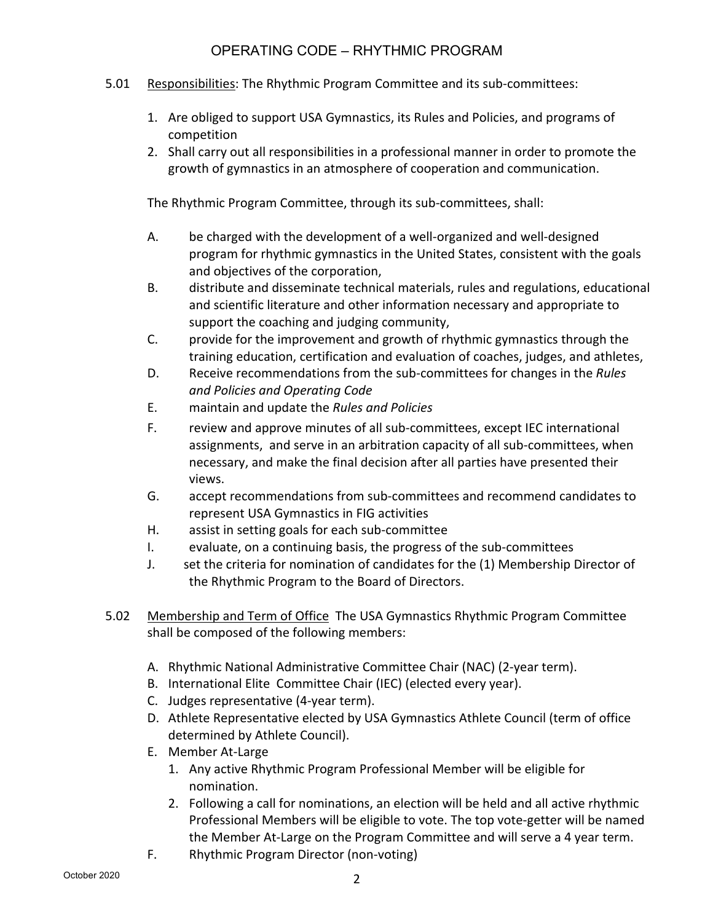- 5.01 Responsibilities: The Rhythmic Program Committee and its sub-committees:
	- 1. Are obliged to support USA Gymnastics, its Rules and Policies, and programs of competition
	- 2. Shall carry out all responsibilities in a professional manner in order to promote the growth of gymnastics in an atmosphere of cooperation and communication.

The Rhythmic Program Committee, through its sub-committees, shall:

- A. be charged with the development of a well-organized and well-designed program for rhythmic gymnastics in the United States, consistent with the goals and objectives of the corporation,
- B. distribute and disseminate technical materials, rules and regulations, educational and scientific literature and other information necessary and appropriate to support the coaching and judging community,
- C. provide for the improvement and growth of rhythmic gymnastics through the training education, certification and evaluation of coaches, judges, and athletes,
- D. Receive recommendations from the sub-committees for changes in the *Rules and Policies and Operating Code*
- E. maintain and update the *Rules and Policies*
- F. review and approve minutes of all sub-committees, except IEC international assignments, and serve in an arbitration capacity of all sub-committees, when necessary, and make the final decision after all parties have presented their views.
- G. accept recommendations from sub-committees and recommend candidates to represent USA Gymnastics in FIG activities
- H. assist in setting goals for each sub-committee
- I. evaluate, on a continuing basis, the progress of the sub-committees
- J. set the criteria for nomination of candidates for the (1) Membership Director of the Rhythmic Program to the Board of Directors.
- 5.02 Membership and Term of Office The USA Gymnastics Rhythmic Program Committee shall be composed of the following members:
	- A. Rhythmic National Administrative Committee Chair (NAC) (2-year term).
	- B. International Elite Committee Chair (IEC) (elected every year).
	- C. Judges representative (4-year term).
	- D. Athlete Representative elected by USA Gymnastics Athlete Council (term of office determined by Athlete Council).
	- E. Member At-Large
		- 1. Any active Rhythmic Program Professional Member will be eligible for nomination.
		- 2. Following a call for nominations, an election will be held and all active rhythmic Professional Members will be eligible to vote. The top vote-getter will be named the Member At-Large on the Program Committee and will serve a 4 year term.
	- F. Rhythmic Program Director (non-voting)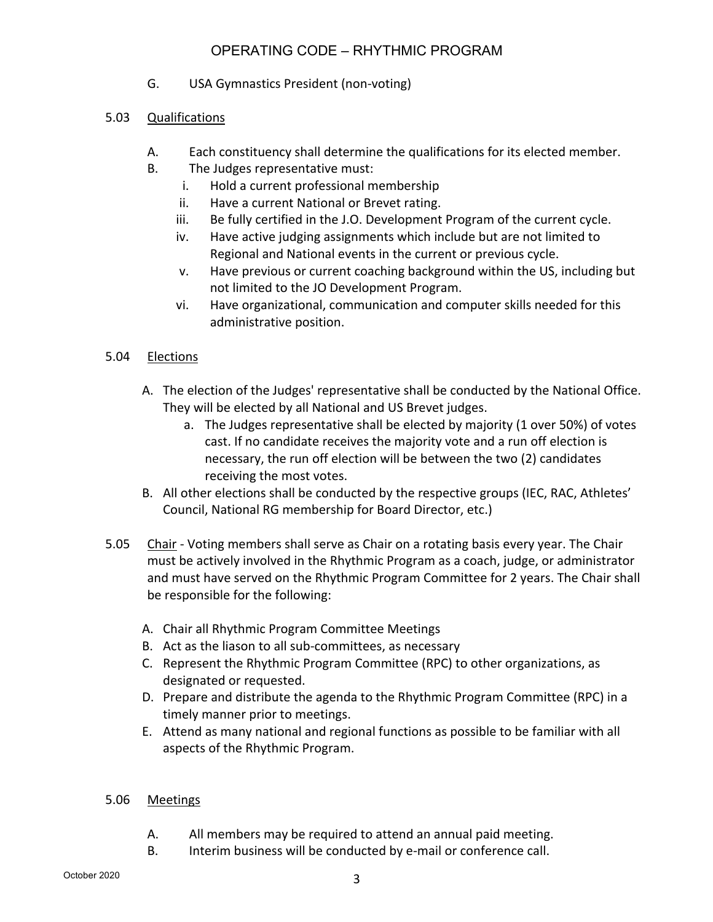- G. USA Gymnastics President (non-voting)
- 5.03 Qualifications
	- A. Each constituency shall determine the qualifications for its elected member.
	- B. The Judges representative must:
		- i. Hold a current professional membership
		- ii. Have a current National or Brevet rating.
		- iii. Be fully certified in the J.O. Development Program of the current cycle.
		- iv. Have active judging assignments which include but are not limited to Regional and National events in the current or previous cycle.
		- v. Have previous or current coaching background within the US, including but not limited to the JO Development Program.
		- vi. Have organizational, communication and computer skills needed for this administrative position.

#### 5.04 Elections

- A. The election of the Judges' representative shall be conducted by the National Office. They will be elected by all National and US Brevet judges.
	- a. The Judges representative shall be elected by majority (1 over 50%) of votes cast. If no candidate receives the majority vote and a run off election is necessary, the run off election will be between the two (2) candidates receiving the most votes.
- B. All other elections shall be conducted by the respective groups (IEC, RAC, Athletes' Council, National RG membership for Board Director, etc.)
- 5.05 Chair Voting members shall serve as Chair on a rotating basis every year. The Chair must be actively involved in the Rhythmic Program as a coach, judge, or administrator and must have served on the Rhythmic Program Committee for 2 years. The Chair shall be responsible for the following:
	- A. Chair all Rhythmic Program Committee Meetings
	- B. Act as the liason to all sub-committees, as necessary
	- C. Represent the Rhythmic Program Committee (RPC) to other organizations, as designated or requested.
	- D. Prepare and distribute the agenda to the Rhythmic Program Committee (RPC) in a timely manner prior to meetings.
	- E. Attend as many national and regional functions as possible to be familiar with all aspects of the Rhythmic Program.

#### 5.06 Meetings

- A. All members may be required to attend an annual paid meeting.
- B. Interim business will be conducted by e-mail or conference call.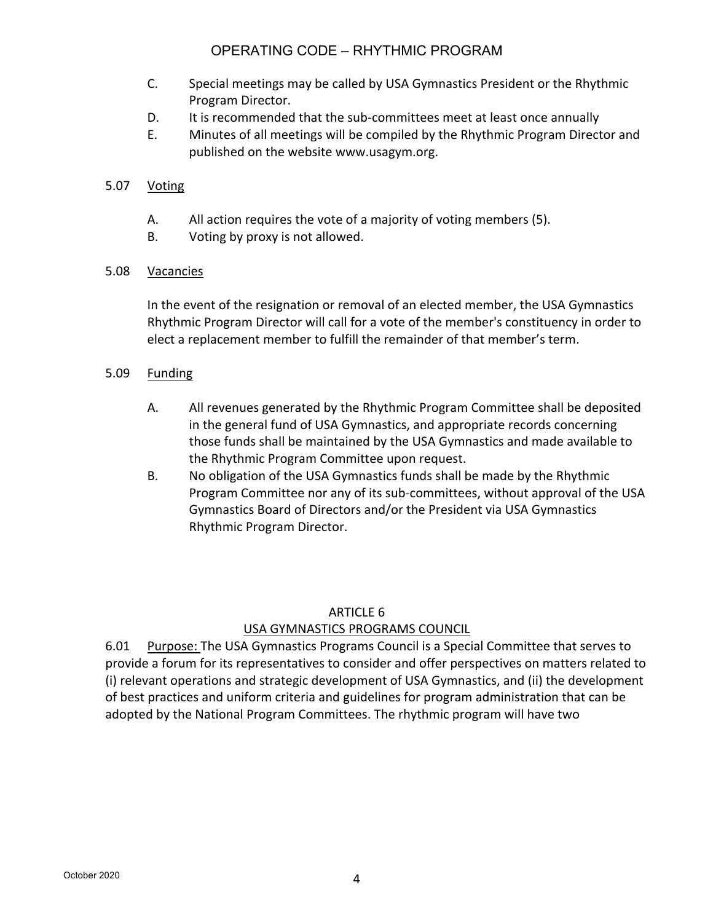- C. Special meetings may be called by USA Gymnastics President or the Rhythmic Program Director.
- D. It is recommended that the sub-committees meet at least once annually
- E. Minutes of all meetings will be compiled by the Rhythmic Program Director and published on the website www.usagym.org.

### 5.07 Voting

- A. All action requires the vote of a majority of voting members (5).
- B. Voting by proxy is not allowed.

#### 5.08 Vacancies

In the event of the resignation or removal of an elected member, the USA Gymnastics Rhythmic Program Director will call for a vote of the member's constituency in order to elect a replacement member to fulfill the remainder of that member's term.

#### 5.09 Funding

- A. All revenues generated by the Rhythmic Program Committee shall be deposited in the general fund of USA Gymnastics, and appropriate records concerning those funds shall be maintained by the USA Gymnastics and made available to the Rhythmic Program Committee upon request.
- B. No obligation of the USA Gymnastics funds shall be made by the Rhythmic Program Committee nor any of its sub-committees, without approval of the USA Gymnastics Board of Directors and/or the President via USA Gymnastics Rhythmic Program Director.

#### ARTICLE 6

#### USA GYMNASTICS PROGRAMS COUNCIL

6.01 Purpose: The USA Gymnastics Programs Council is a Special Committee that serves to provide a forum for its representatives to consider and offer perspectives on matters related to (i) relevant operations and strategic development of USA Gymnastics, and (ii) the development of best practices and uniform criteria and guidelines for program administration that can be adopted by the National Program Committees. The rhythmic program will have two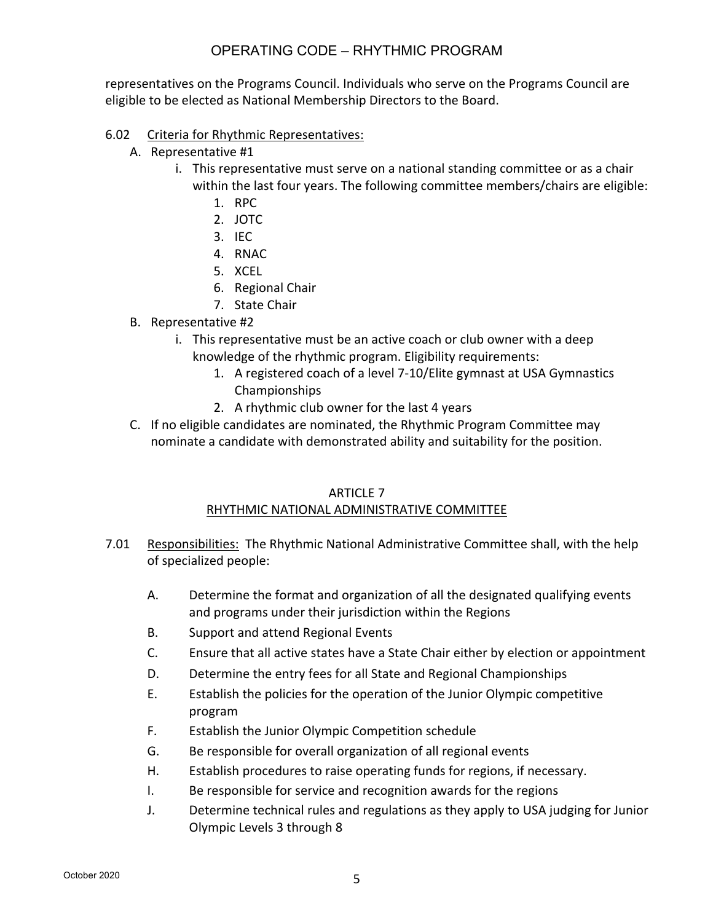representatives on the Programs Council. Individuals who serve on the Programs Council are eligible to be elected as National Membership Directors to the Board.

#### 6.02 Criteria for Rhythmic Representatives:

- A. Representative #1
	- i. This representative must serve on a national standing committee or as a chair within the last four years. The following committee members/chairs are eligible:
		- 1. RPC
		- 2. JOTC
		- 3. IEC
		- 4. RNAC
		- 5. XCEL
		- 6. Regional Chair
		- 7. State Chair
- B. Representative #2
	- i. This representative must be an active coach or club owner with a deep knowledge of the rhythmic program. Eligibility requirements:
		- 1. A registered coach of a level 7-10/Elite gymnast at USA Gymnastics Championships
		- 2. A rhythmic club owner for the last 4 years
- C. If no eligible candidates are nominated, the Rhythmic Program Committee may nominate a candidate with demonstrated ability and suitability for the position.

#### ARTICLE 7

#### RHYTHMIC NATIONAL ADMINISTRATIVE COMMITTEE

- 7.01 Responsibilities: The Rhythmic National Administrative Committee shall, with the help of specialized people:
	- A. Determine the format and organization of all the designated qualifying events and programs under their jurisdiction within the Regions
	- B. Support and attend Regional Events
	- C. Ensure that all active states have a State Chair either by election or appointment
	- D. Determine the entry fees for all State and Regional Championships
	- E. Establish the policies for the operation of the Junior Olympic competitive program
	- F. Establish the Junior Olympic Competition schedule
	- G. Be responsible for overall organization of all regional events
	- H. Establish procedures to raise operating funds for regions, if necessary.
	- I. Be responsible for service and recognition awards for the regions
	- J. Determine technical rules and regulations as they apply to USA judging for Junior Olympic Levels 3 through 8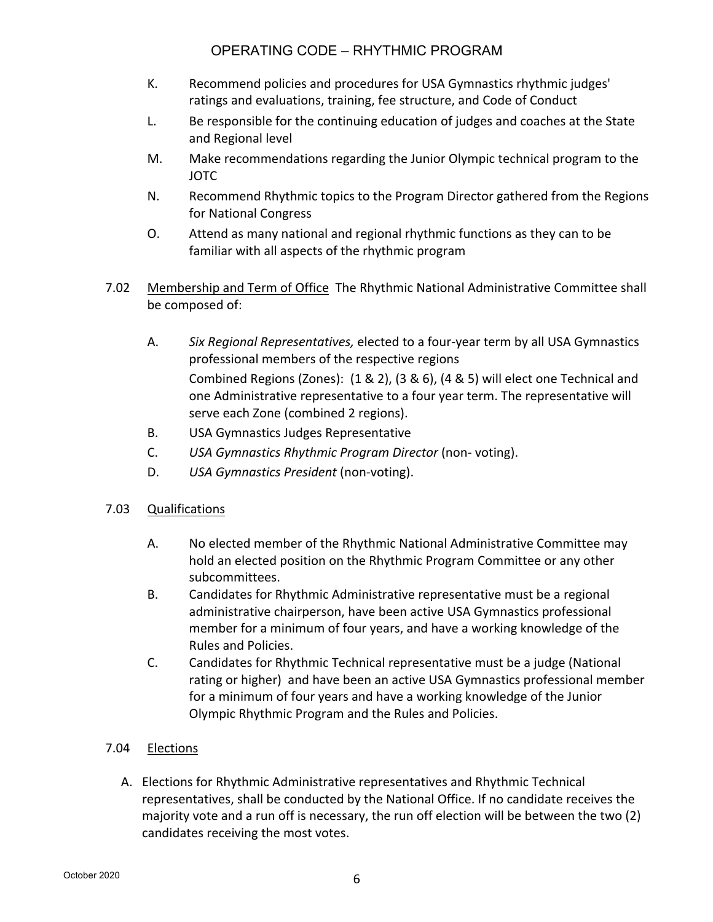- K. Recommend policies and procedures for USA Gymnastics rhythmic judges' ratings and evaluations, training, fee structure, and Code of Conduct
- L. Be responsible for the continuing education of judges and coaches at the State and Regional level
- M. Make recommendations regarding the Junior Olympic technical program to the JOTC
- N. Recommend Rhythmic topics to the Program Director gathered from the Regions for National Congress
- O. Attend as many national and regional rhythmic functions as they can to be familiar with all aspects of the rhythmic program
- 7.02 Membership and Term of Office The Rhythmic National Administrative Committee shall be composed of:
	- A. *Six Regional Representatives,* elected to a four-year term by all USA Gymnastics professional members of the respective regions Combined Regions (Zones): (1 & 2), (3 & 6), (4 & 5) will elect one Technical and one Administrative representative to a four year term. The representative will serve each Zone (combined 2 regions).
	- B. USA Gymnastics Judges Representative
	- C. *USA Gymnastics Rhythmic Program Director* (non- voting).
	- D. *USA Gymnastics President* (non-voting).
- 7.03 Qualifications
	- A. No elected member of the Rhythmic National Administrative Committee may hold an elected position on the Rhythmic Program Committee or any other subcommittees.
	- B. Candidates for Rhythmic Administrative representative must be a regional administrative chairperson, have been active USA Gymnastics professional member for a minimum of four years, and have a working knowledge of the Rules and Policies.
	- C. Candidates for Rhythmic Technical representative must be a judge (National rating or higher) and have been an active USA Gymnastics professional member for a minimum of four years and have a working knowledge of the Junior Olympic Rhythmic Program and the Rules and Policies.

### 7.04 Elections

A. Elections for Rhythmic Administrative representatives and Rhythmic Technical representatives, shall be conducted by the National Office. If no candidate receives the majority vote and a run off is necessary, the run off election will be between the two (2) candidates receiving the most votes.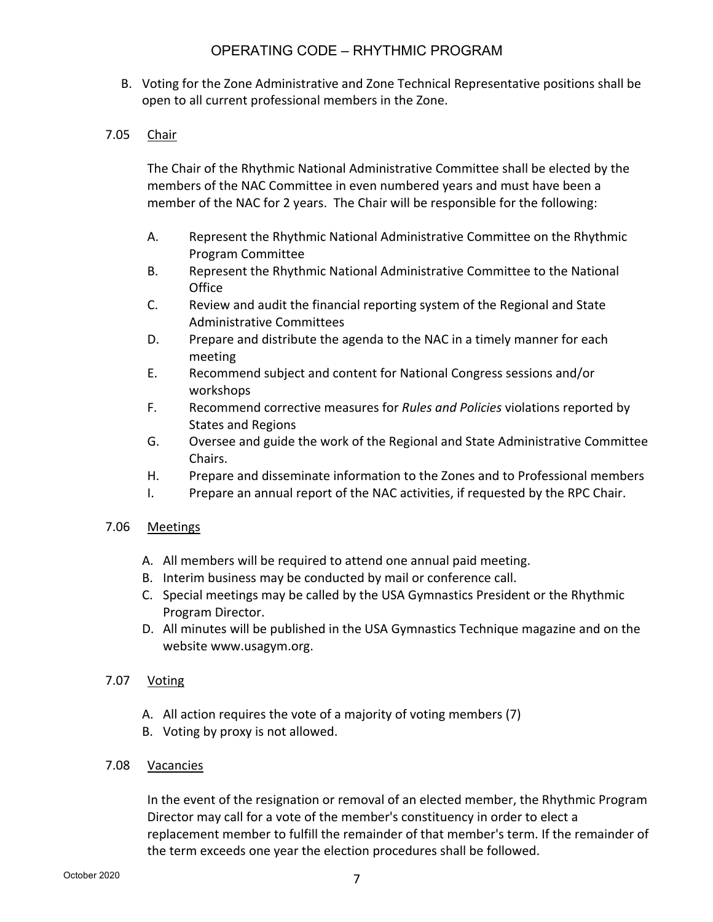B. Voting for the Zone Administrative and Zone Technical Representative positions shall be open to all current professional members in the Zone.

#### 7.05 Chair

The Chair of the Rhythmic National Administrative Committee shall be elected by the members of the NAC Committee in even numbered years and must have been a member of the NAC for 2 years. The Chair will be responsible for the following:

- A. Represent the Rhythmic National Administrative Committee on the Rhythmic Program Committee
- B. Represent the Rhythmic National Administrative Committee to the National **Office**
- C. Review and audit the financial reporting system of the Regional and State Administrative Committees
- D. Prepare and distribute the agenda to the NAC in a timely manner for each meeting
- E. Recommend subject and content for National Congress sessions and/or workshops
- F. Recommend corrective measures for *Rules and Policies* violations reported by States and Regions
- G. Oversee and guide the work of the Regional and State Administrative Committee Chairs.
- H. Prepare and disseminate information to the Zones and to Professional members
- I. Prepare an annual report of the NAC activities, if requested by the RPC Chair.

#### 7.06 Meetings

- A. All members will be required to attend one annual paid meeting.
- B. Interim business may be conducted by mail or conference call.
- C. Special meetings may be called by the USA Gymnastics President or the Rhythmic Program Director.
- D. All minutes will be published in the USA Gymnastics Technique magazine and on the website www.usagym.org.

#### 7.07 Voting

- A. All action requires the vote of a majority of voting members (7)
- B. Voting by proxy is not allowed.

#### 7.08 Vacancies

In the event of the resignation or removal of an elected member, the Rhythmic Program Director may call for a vote of the member's constituency in order to elect a replacement member to fulfill the remainder of that member's term. If the remainder of the term exceeds one year the election procedures shall be followed.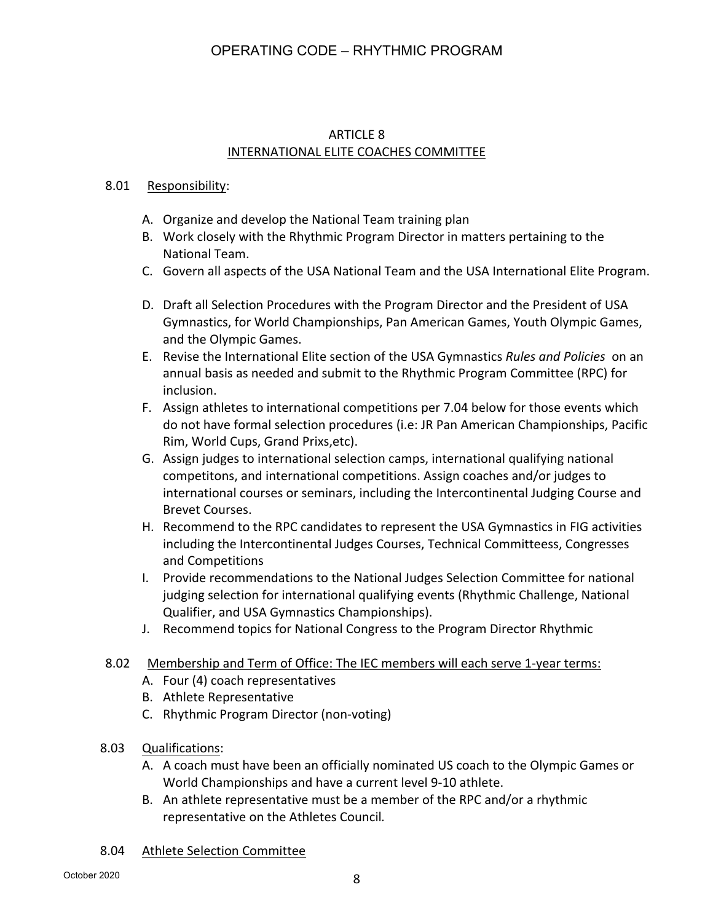#### ARTICLE 8 INTERNATIONAL ELITE COACHES COMMITTEE

#### 8.01 Responsibility:

- A. Organize and develop the National Team training plan
- B. Work closely with the Rhythmic Program Director in matters pertaining to the National Team.
- C. Govern all aspects of the USA National Team and the USA International Elite Program.
- D. Draft all Selection Procedures with the Program Director and the President of USA Gymnastics, for World Championships, Pan American Games, Youth Olympic Games, and the Olympic Games.
- E. Revise the International Elite section of the USA Gymnastics *Rules and Policies* on an annual basis as needed and submit to the Rhythmic Program Committee (RPC) for inclusion.
- F. Assign athletes to international competitions per 7.04 below for those events which do not have formal selection procedures (i.e: JR Pan American Championships, Pacific Rim, World Cups, Grand Prixs,etc).
- G. Assign judges to international selection camps, international qualifying national competitons, and international competitions. Assign coaches and/or judges to international courses or seminars, including the Intercontinental Judging Course and Brevet Courses.
- H. Recommend to the RPC candidates to represent the USA Gymnastics in FIG activities including the Intercontinental Judges Courses, Technical Committeess, Congresses and Competitions
- I. Provide recommendations to the National Judges Selection Committee for national judging selection for international qualifying events (Rhythmic Challenge, National Qualifier, and USA Gymnastics Championships).
- J. Recommend topics for National Congress to the Program Director Rhythmic

#### 8.02 Membership and Term of Office: The IEC members will each serve 1-year terms:

- A. Four (4) coach representatives
- B. Athlete Representative
- C. Rhythmic Program Director (non-voting)
- 8.03 Qualifications:
	- A. A coach must have been an officially nominated US coach to the Olympic Games or World Championships and have a current level 9-10 athlete.
	- B. An athlete representative must be a member of the RPC and/or a rhythmic representative on the Athletes Council*.*

#### 8.04 Athlete Selection Committee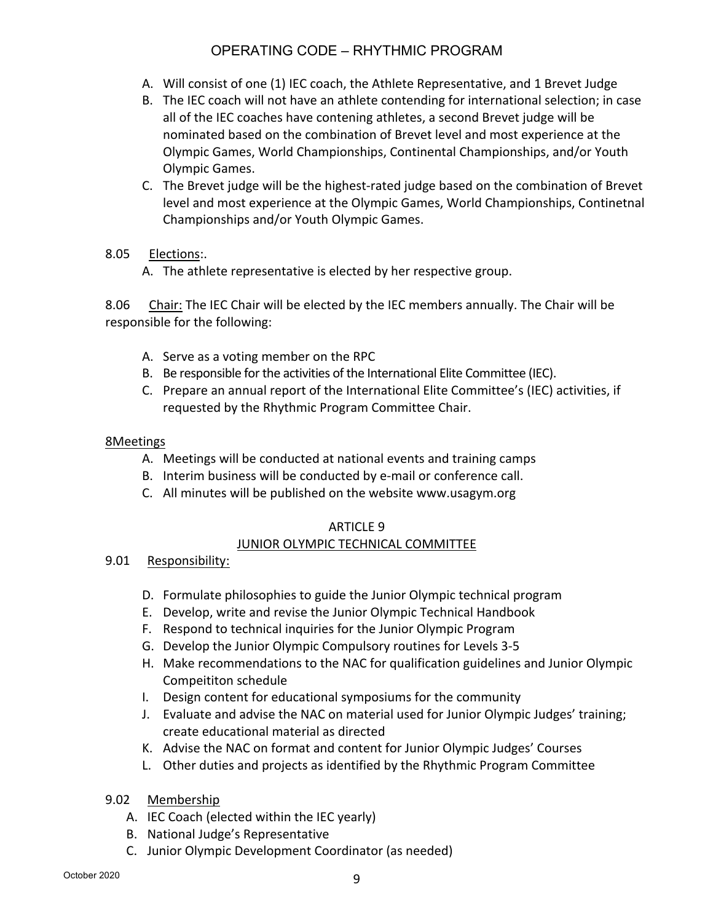- A. Will consist of one (1) IEC coach, the Athlete Representative, and 1 Brevet Judge
- B. The IEC coach will not have an athlete contending for international selection; in case all of the IEC coaches have contening athletes, a second Brevet judge will be nominated based on the combination of Brevet level and most experience at the Olympic Games, World Championships, Continental Championships, and/or Youth Olympic Games.
- C. The Brevet judge will be the highest-rated judge based on the combination of Brevet level and most experience at the Olympic Games, World Championships, Continetnal Championships and/or Youth Olympic Games.

#### 8.05 Elections:.

A. The athlete representative is elected by her respective group.

8.06 Chair: The IEC Chair will be elected by the IEC members annually. The Chair will be responsible for the following:

- A. Serve as a voting member on the RPC
- B. Be responsible for the activities of the International Elite Committee (IEC).
- C. Prepare an annual report of the International Elite Committee's (IEC) activities, if requested by the Rhythmic Program Committee Chair.

#### 8Meetings

- A. Meetings will be conducted at national events and training camps
- B. Interim business will be conducted by e-mail or conference call.
- C. All minutes will be published on the website www.usagym.org

#### ARTICLE 9

#### JUNIOR OLYMPIC TECHNICAL COMMITTEE

#### 9.01 Responsibility:

- D. Formulate philosophies to guide the Junior Olympic technical program
- E. Develop, write and revise the Junior Olympic Technical Handbook
- F. Respond to technical inquiries for the Junior Olympic Program
- G. Develop the Junior Olympic Compulsory routines for Levels 3-5
- H. Make recommendations to the NAC for qualification guidelines and Junior Olympic Compeititon schedule
- I. Design content for educational symposiums for the community
- J. Evaluate and advise the NAC on material used for Junior Olympic Judges' training; create educational material as directed
- K. Advise the NAC on format and content for Junior Olympic Judges' Courses
- L. Other duties and projects as identified by the Rhythmic Program Committee
- 9.02 Membership
	- A. IEC Coach (elected within the IEC yearly)
	- B. National Judge's Representative
	- C. Junior Olympic Development Coordinator (as needed)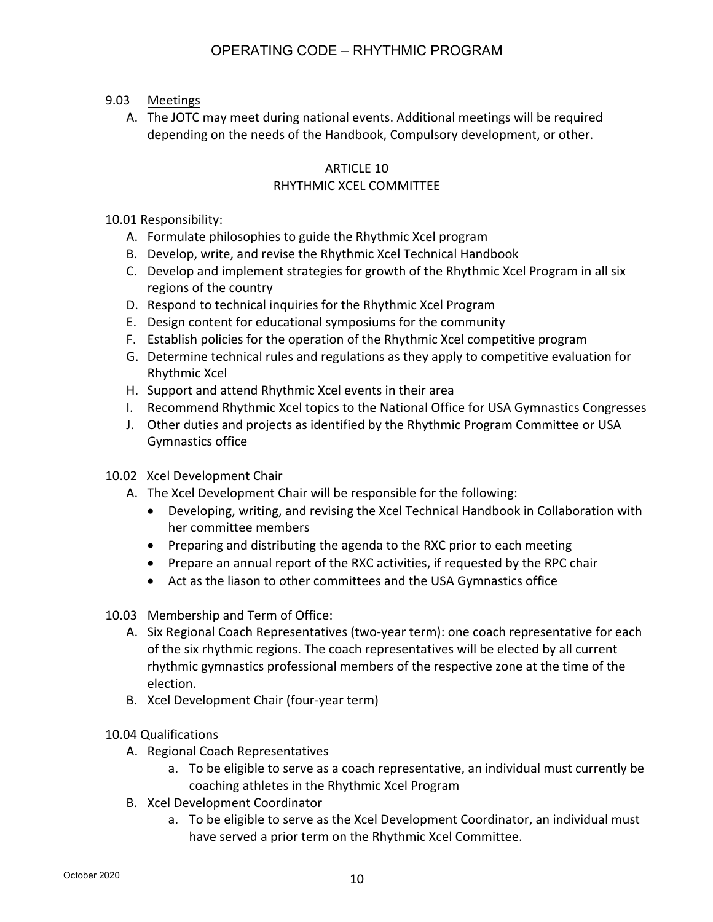- 9.03 Meetings
	- A. The JOTC may meet during national events. Additional meetings will be required depending on the needs of the Handbook, Compulsory development, or other.

# ARTICLE 10

### RHYTHMIC XCEL COMMITTEE

10.01 Responsibility:

- A. Formulate philosophies to guide the Rhythmic Xcel program
- B. Develop, write, and revise the Rhythmic Xcel Technical Handbook
- C. Develop and implement strategies for growth of the Rhythmic Xcel Program in all six regions of the country
- D. Respond to technical inquiries for the Rhythmic Xcel Program
- E. Design content for educational symposiums for the community
- F. Establish policies for the operation of the Rhythmic Xcel competitive program
- G. Determine technical rules and regulations as they apply to competitive evaluation for Rhythmic Xcel
- H. Support and attend Rhythmic Xcel events in their area
- I. Recommend Rhythmic Xcel topics to the National Office for USA Gymnastics Congresses
- J. Other duties and projects as identified by the Rhythmic Program Committee or USA Gymnastics office
- 10.02 Xcel Development Chair
	- A. The Xcel Development Chair will be responsible for the following:
		- Developing, writing, and revising the Xcel Technical Handbook in Collaboration with her committee members
		- Preparing and distributing the agenda to the RXC prior to each meeting
		- Prepare an annual report of the RXC activities, if requested by the RPC chair
		- Act as the liason to other committees and the USA Gymnastics office
- 10.03 Membership and Term of Office:
	- A. Six Regional Coach Representatives (two-year term): one coach representative for each of the six rhythmic regions. The coach representatives will be elected by all current rhythmic gymnastics professional members of the respective zone at the time of the election.
	- B. Xcel Development Chair (four-year term)

10.04 Qualifications

- A. Regional Coach Representatives
	- a. To be eligible to serve as a coach representative, an individual must currently be coaching athletes in the Rhythmic Xcel Program
- B. Xcel Development Coordinator
	- a. To be eligible to serve as the Xcel Development Coordinator, an individual must have served a prior term on the Rhythmic Xcel Committee.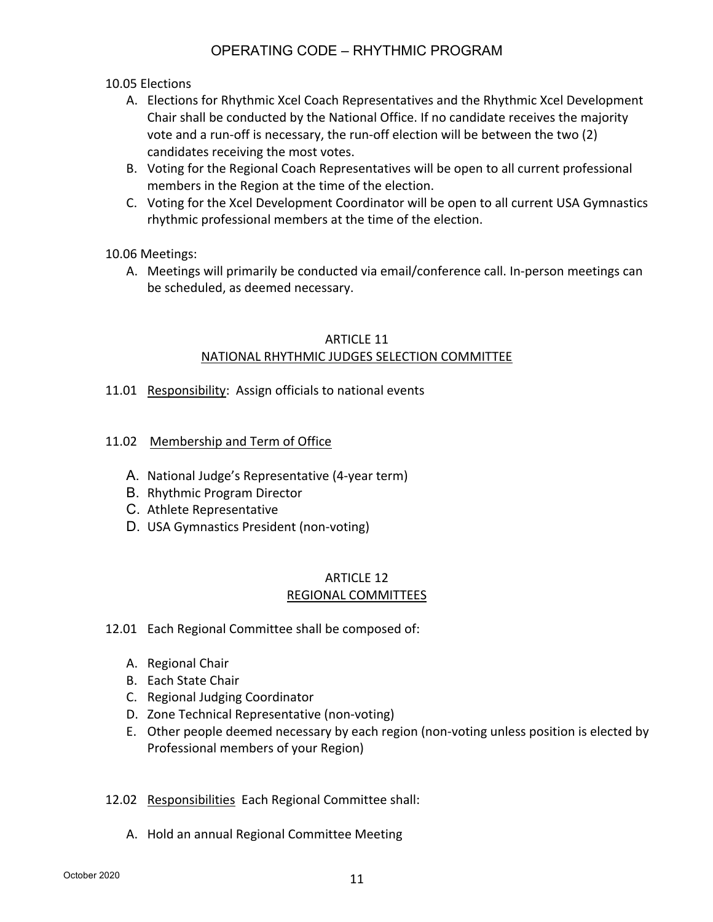#### 10.05 Elections

- A. Elections for Rhythmic Xcel Coach Representatives and the Rhythmic Xcel Development Chair shall be conducted by the National Office. If no candidate receives the majority vote and a run-off is necessary, the run-off election will be between the two (2) candidates receiving the most votes.
- B. Voting for the Regional Coach Representatives will be open to all current professional members in the Region at the time of the election.
- C. Voting for the Xcel Development Coordinator will be open to all current USA Gymnastics rhythmic professional members at the time of the election.

#### 10.06 Meetings:

A. Meetings will primarily be conducted via email/conference call. In-person meetings can be scheduled, as deemed necessary.

#### ARTICLE 11 NATIONAL RHYTHMIC JUDGES SELECTION COMMITTEE

- 11.01 Responsibility: Assign officials to national events
- 11.02 Membership and Term of Office
	- A. National Judge's Representative (4-year term)
	- B. Rhythmic Program Director
	- C. Athlete Representative
	- D. USA Gymnastics President (non-voting)

#### ARTICLE 12 REGIONAL COMMITTEES

- 12.01 Each Regional Committee shall be composed of:
	- A. Regional Chair
	- B. Each State Chair
	- C. Regional Judging Coordinator
	- D. Zone Technical Representative (non-voting)
	- E. Other people deemed necessary by each region (non-voting unless position is elected by Professional members of your Region)
- 12.02 Responsibilities Each Regional Committee shall:
	- A. Hold an annual Regional Committee Meeting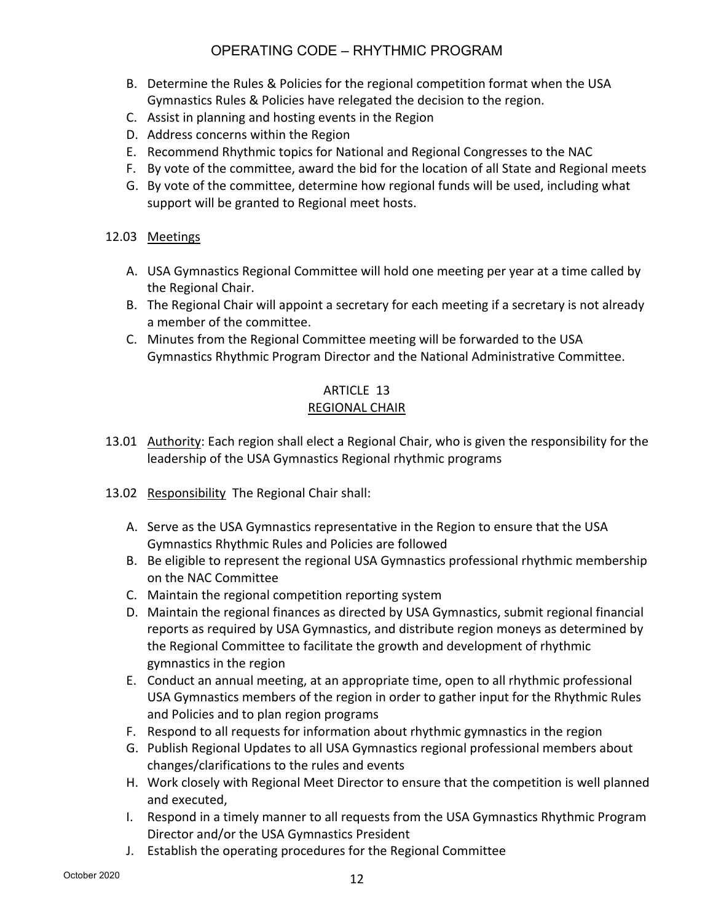- B. Determine the Rules & Policies for the regional competition format when the USA Gymnastics Rules & Policies have relegated the decision to the region.
- C. Assist in planning and hosting events in the Region
- D. Address concerns within the Region
- E. Recommend Rhythmic topics for National and Regional Congresses to the NAC
- F. By vote of the committee, award the bid for the location of all State and Regional meets
- G. By vote of the committee, determine how regional funds will be used, including what support will be granted to Regional meet hosts.

#### 12.03 Meetings

- A. USA Gymnastics Regional Committee will hold one meeting per year at a time called by the Regional Chair.
- B. The Regional Chair will appoint a secretary for each meeting if a secretary is not already a member of the committee.
- C. Minutes from the Regional Committee meeting will be forwarded to the USA Gymnastics Rhythmic Program Director and the National Administrative Committee.

# ARTICLE 13

#### REGIONAL CHAIR

- 13.01 Authority: Each region shall elect a Regional Chair, who is given the responsibility for the leadership of the USA Gymnastics Regional rhythmic programs
- 13.02 Responsibility The Regional Chair shall:
	- A. Serve as the USA Gymnastics representative in the Region to ensure that the USA Gymnastics Rhythmic Rules and Policies are followed
	- B. Be eligible to represent the regional USA Gymnastics professional rhythmic membership on the NAC Committee
	- C. Maintain the regional competition reporting system
	- D. Maintain the regional finances as directed by USA Gymnastics, submit regional financial reports as required by USA Gymnastics, and distribute region moneys as determined by the Regional Committee to facilitate the growth and development of rhythmic gymnastics in the region
	- E. Conduct an annual meeting, at an appropriate time, open to all rhythmic professional USA Gymnastics members of the region in order to gather input for the Rhythmic Rules and Policies and to plan region programs
	- F. Respond to all requests for information about rhythmic gymnastics in the region
	- G. Publish Regional Updates to all USA Gymnastics regional professional members about changes/clarifications to the rules and events
	- H. Work closely with Regional Meet Director to ensure that the competition is well planned and executed,
	- I. Respond in a timely manner to all requests from the USA Gymnastics Rhythmic Program Director and/or the USA Gymnastics President
	- J. Establish the operating procedures for the Regional Committee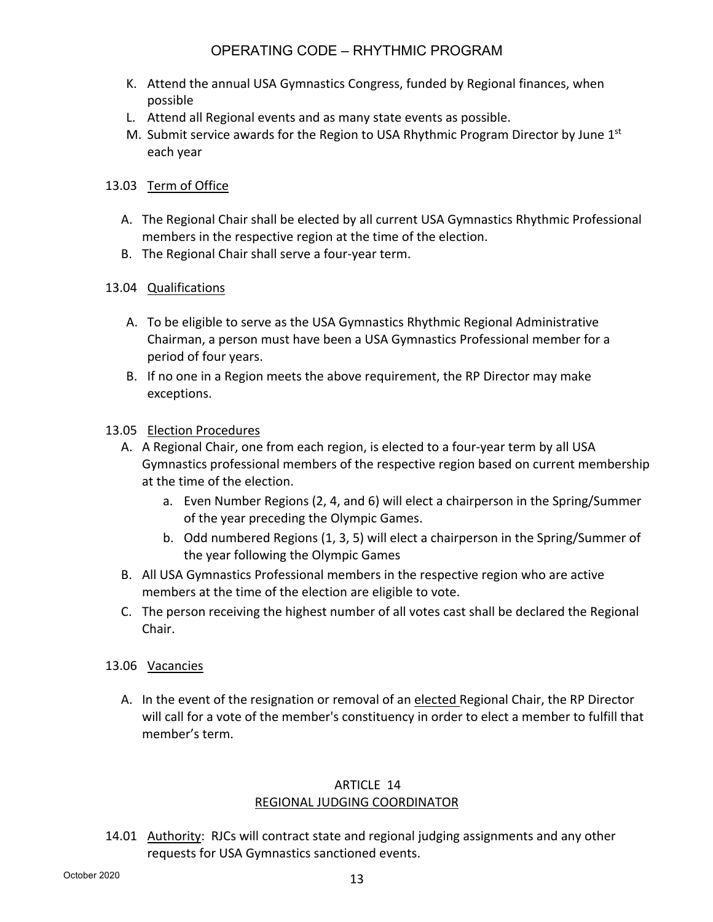- K. Attend the annual USA Gymnastics Congress, funded by Regional finances, when possible
- L. Attend all Regional events and as many state events as possible.
- M. Submit service awards for the Region to USA Rhythmic Program Director by June 1<sup>st</sup> each year

#### 13.03 Term of Office

- A. The Regional Chair shall be elected by all current USA Gymnastics Rhythmic Professional members in the respective region at the time of the election.
- B. The Regional Chair shall serve a four-year term.

#### 13.04 Qualifications

- A. To be eligible to serve as the USA Gymnastics Rhythmic Regional Administrative Chairman, a person must have been a USA Gymnastics Professional member for a period of four years.
- B. If no one in a Region meets the above requirement, the RP Director may make exceptions.

#### 13.05 Election Procedures

- A. A Regional Chair, one from each region, is elected to a four-year term by all USA Gymnastics professional members of the respective region based on current membership at the time of the election.
	- a. Even Number Regions (2, 4, and 6) will elect a chairperson in the Spring/Summer of the year preceding the Olympic Games.
	- b. Odd numbered Regions (1, 3, 5) will elect a chairperson in the Spring/Summer of the year following the Olympic Games
- B. All USA Gymnastics Professional members in the respective region who are active members at the time of the election are eligible to vote.
- C. The person receiving the highest number of all votes cast shall be declared the Regional Chair.
- 13.06 Vacancies
	- A. In the event of the resignation or removal of an elected Regional Chair, the RP Director will call for a vote of the member's constituency in order to elect a member to fulfill that member's term.

#### ARTICLE 14 REGIONAL JUDGING COORDINATOR

14.01 Authority: RJCs will contract state and regional judging assignments and any other requests for USA Gymnastics sanctioned events.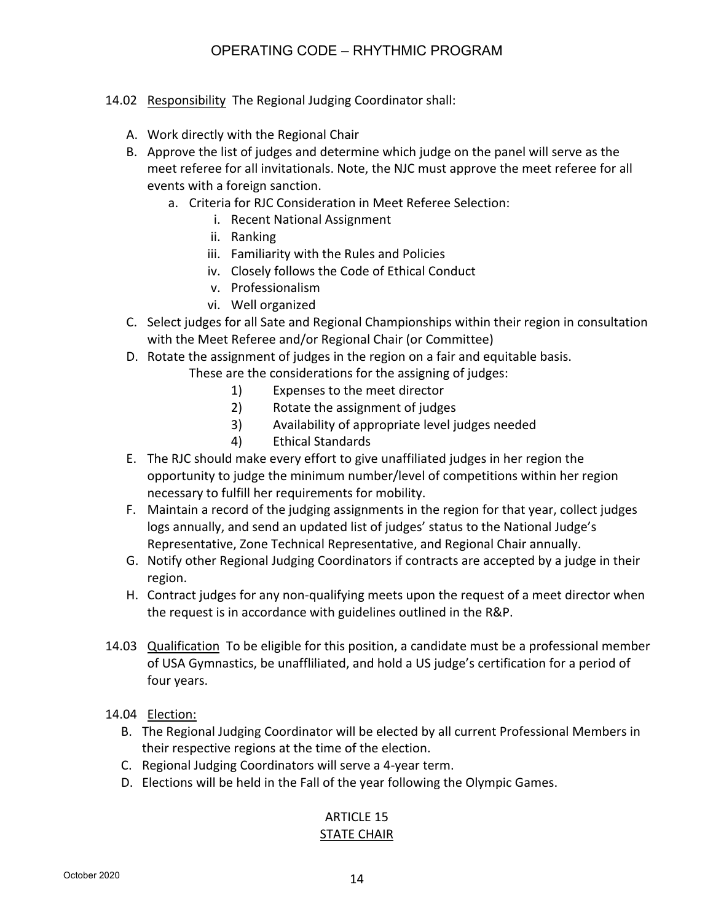- 14.02 Responsibility The Regional Judging Coordinator shall:
	- A. Work directly with the Regional Chair
	- B. Approve the list of judges and determine which judge on the panel will serve as the meet referee for all invitationals. Note, the NJC must approve the meet referee for all events with a foreign sanction.
		- a. Criteria for RJC Consideration in Meet Referee Selection:
			- i. Recent National Assignment
			- ii. Ranking
			- iii. Familiarity with the Rules and Policies
			- iv. Closely follows the Code of Ethical Conduct
			- v. Professionalism
			- vi. Well organized
	- C. Select judges for all Sate and Regional Championships within their region in consultation with the Meet Referee and/or Regional Chair (or Committee)
	- D. Rotate the assignment of judges in the region on a fair and equitable basis.
		- These are the considerations for the assigning of judges:
			- 1) Expenses to the meet director
			- 2) Rotate the assignment of judges
			- 3) Availability of appropriate level judges needed
			- 4) Ethical Standards
	- E. The RJC should make every effort to give unaffiliated judges in her region the opportunity to judge the minimum number/level of competitions within her region necessary to fulfill her requirements for mobility.
	- F. Maintain a record of the judging assignments in the region for that year, collect judges logs annually, and send an updated list of judges' status to the National Judge's Representative, Zone Technical Representative, and Regional Chair annually.
	- G. Notify other Regional Judging Coordinators if contracts are accepted by a judge in their region.
	- H. Contract judges for any non-qualifying meets upon the request of a meet director when the request is in accordance with guidelines outlined in the R&P.
- 14.03 Qualification To be eligible for this position, a candidate must be a professional member of USA Gymnastics, be unaffliliated, and hold a US judge's certification for a period of four years.
- 14.04 Election:
	- B. The Regional Judging Coordinator will be elected by all current Professional Members in their respective regions at the time of the election.
	- C. Regional Judging Coordinators will serve a 4-year term.
	- D. Elections will be held in the Fall of the year following the Olympic Games.

# ARTICLE 15

#### STATE CHAIR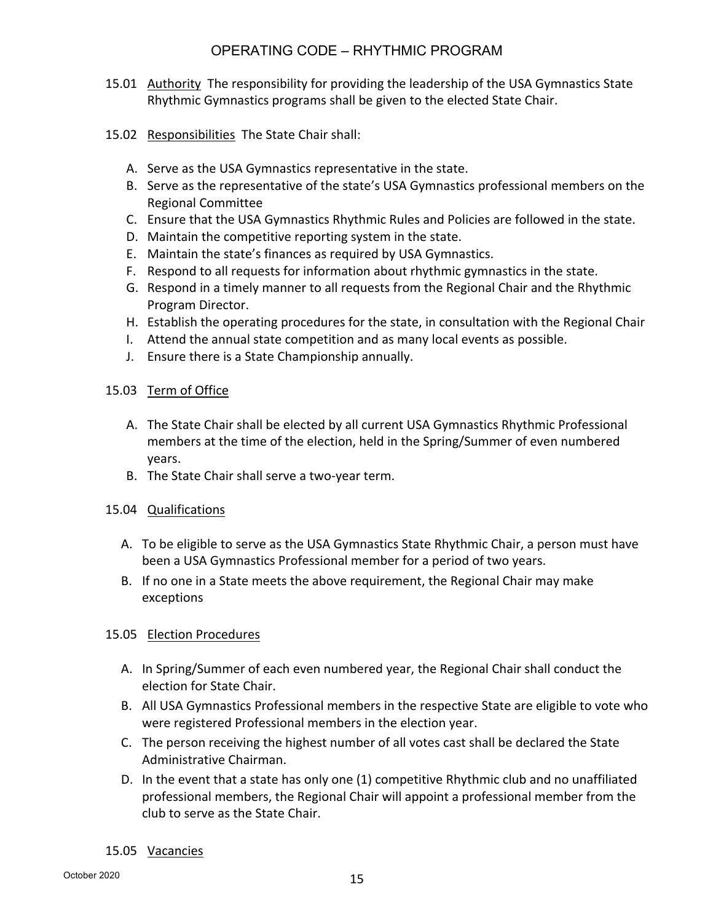- 15.01 Authority The responsibility for providing the leadership of the USA Gymnastics State Rhythmic Gymnastics programs shall be given to the elected State Chair.
- 15.02 Responsibilities The State Chair shall:
	- A. Serve as the USA Gymnastics representative in the state.
	- B. Serve as the representative of the state's USA Gymnastics professional members on the Regional Committee
	- C. Ensure that the USA Gymnastics Rhythmic Rules and Policies are followed in the state.
	- D. Maintain the competitive reporting system in the state.
	- E. Maintain the state's finances as required by USA Gymnastics.
	- F. Respond to all requests for information about rhythmic gymnastics in the state.
	- G. Respond in a timely manner to all requests from the Regional Chair and the Rhythmic Program Director.
	- H. Establish the operating procedures for the state, in consultation with the Regional Chair
	- I. Attend the annual state competition and as many local events as possible.
	- J. Ensure there is a State Championship annually.

#### 15.03 Term of Office

- A. The State Chair shall be elected by all current USA Gymnastics Rhythmic Professional members at the time of the election, held in the Spring/Summer of even numbered years.
- B. The State Chair shall serve a two-year term.
- 15.04 Qualifications
	- A. To be eligible to serve as the USA Gymnastics State Rhythmic Chair, a person must have been a USA Gymnastics Professional member for a period of two years.
	- B. If no one in a State meets the above requirement, the Regional Chair may make exceptions

#### 15.05 Election Procedures

- A. In Spring/Summer of each even numbered year, the Regional Chair shall conduct the election for State Chair.
- B. All USA Gymnastics Professional members in the respective State are eligible to vote who were registered Professional members in the election year.
- C. The person receiving the highest number of all votes cast shall be declared the State Administrative Chairman.
- D. In the event that a state has only one (1) competitive Rhythmic club and no unaffiliated professional members, the Regional Chair will appoint a professional member from the club to serve as the State Chair.

#### 15.05 Vacancies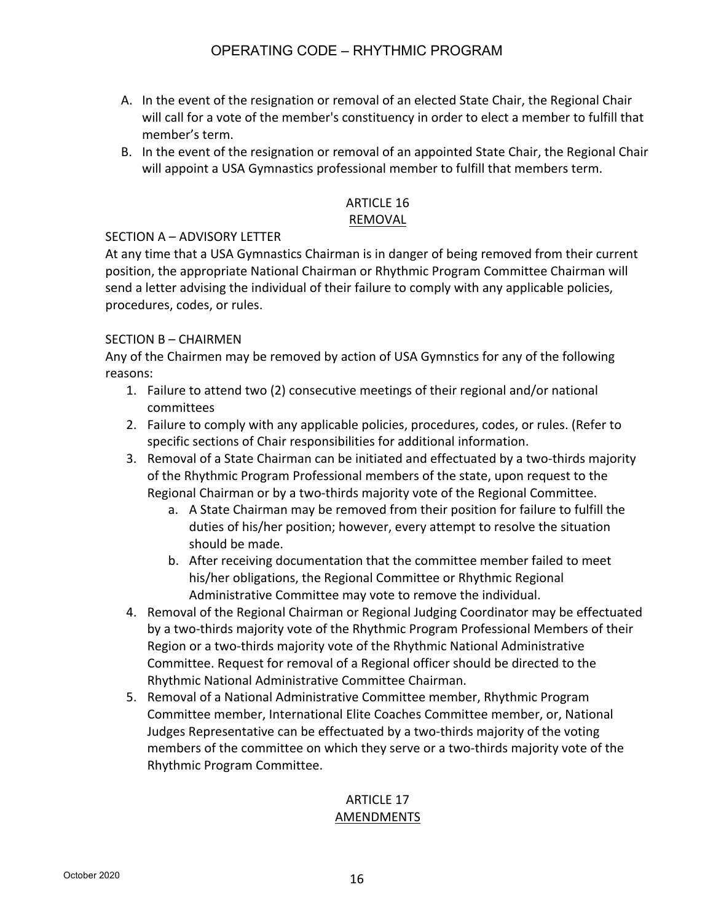- A. In the event of the resignation or removal of an elected State Chair, the Regional Chair will call for a vote of the member's constituency in order to elect a member to fulfill that member's term.
- B. In the event of the resignation or removal of an appointed State Chair, the Regional Chair will appoint a USA Gymnastics professional member to fulfill that members term.

## ARTICLE 16

#### REMOVAL

#### SECTION A – ADVISORY LETTER

At any time that a USA Gymnastics Chairman is in danger of being removed from their current position, the appropriate National Chairman or Rhythmic Program Committee Chairman will send a letter advising the individual of their failure to comply with any applicable policies, procedures, codes, or rules.

#### SECTION B – CHAIRMEN

Any of the Chairmen may be removed by action of USA Gymnstics for any of the following reasons:

- 1. Failure to attend two (2) consecutive meetings of their regional and/or national committees
- 2. Failure to comply with any applicable policies, procedures, codes, or rules. (Refer to specific sections of Chair responsibilities for additional information.
- 3. Removal of a State Chairman can be initiated and effectuated by a two-thirds majority of the Rhythmic Program Professional members of the state, upon request to the Regional Chairman or by a two-thirds majority vote of the Regional Committee.
	- a. A State Chairman may be removed from their position for failure to fulfill the duties of his/her position; however, every attempt to resolve the situation should be made.
	- b. After receiving documentation that the committee member failed to meet his/her obligations, the Regional Committee or Rhythmic Regional Administrative Committee may vote to remove the individual.
- 4. Removal of the Regional Chairman or Regional Judging Coordinator may be effectuated by a two-thirds majority vote of the Rhythmic Program Professional Members of their Region or a two-thirds majority vote of the Rhythmic National Administrative Committee. Request for removal of a Regional officer should be directed to the Rhythmic National Administrative Committee Chairman.
- 5. Removal of a National Administrative Committee member, Rhythmic Program Committee member, International Elite Coaches Committee member, or, National Judges Representative can be effectuated by a two-thirds majority of the voting members of the committee on which they serve or a two-thirds majority vote of the Rhythmic Program Committee.

### ARTICLE 17 AMENDMENTS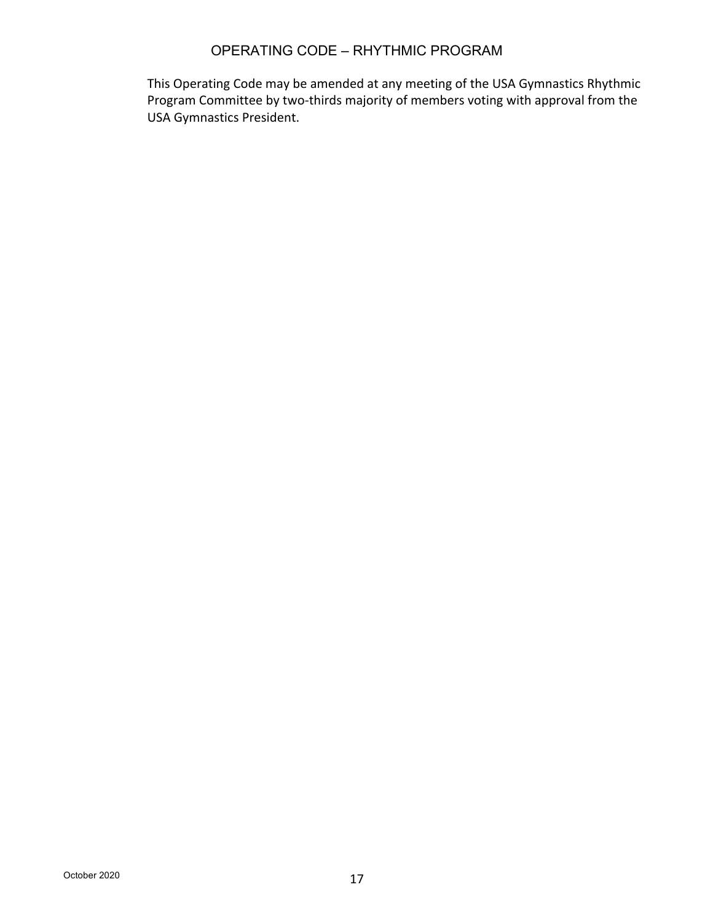This Operating Code may be amended at any meeting of the USA Gymnastics Rhythmic Program Committee by two-thirds majority of members voting with approval from the USA Gymnastics President.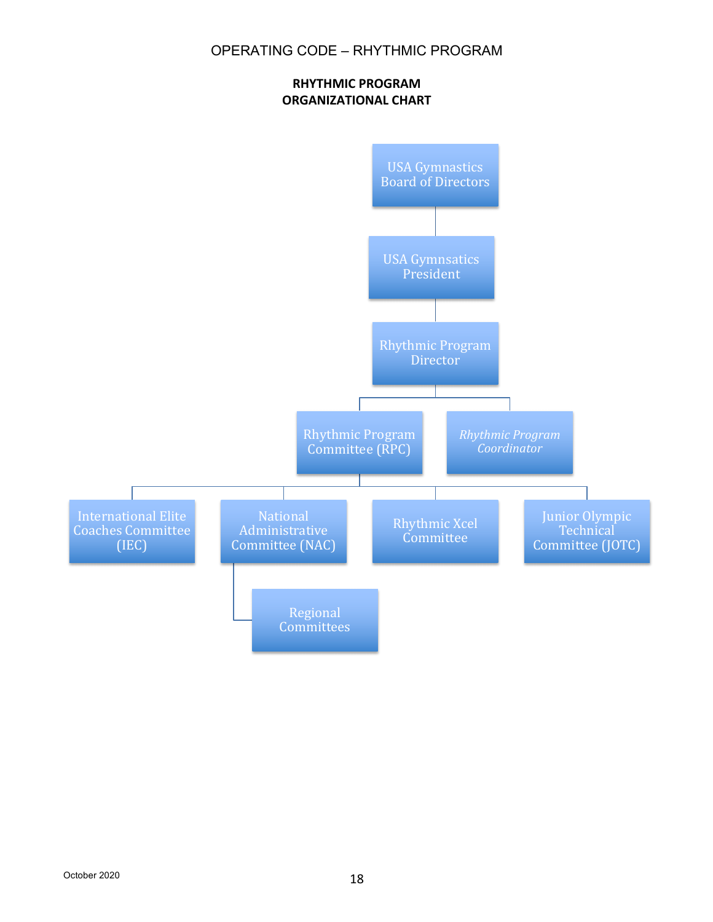#### **RHYTHMIC PROGRAM ORGANIZATIONAL CHART**

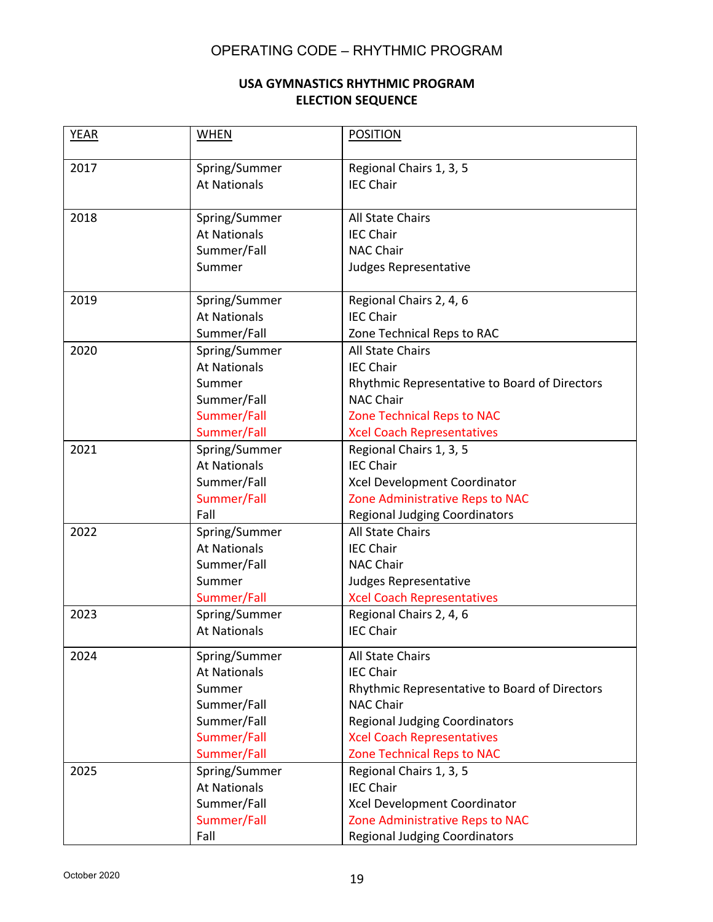#### **USA GYMNASTICS RHYTHMIC PROGRAM ELECTION SEQUENCE**

| <b>YEAR</b> | <b>WHEN</b>         | <b>POSITION</b>                               |
|-------------|---------------------|-----------------------------------------------|
| 2017        | Spring/Summer       | Regional Chairs 1, 3, 5                       |
|             | <b>At Nationals</b> | <b>IEC Chair</b>                              |
| 2018        | Spring/Summer       | <b>All State Chairs</b>                       |
|             | <b>At Nationals</b> | <b>IEC Chair</b>                              |
|             | Summer/Fall         | <b>NAC Chair</b>                              |
|             | Summer              | Judges Representative                         |
| 2019        | Spring/Summer       | Regional Chairs 2, 4, 6                       |
|             | <b>At Nationals</b> | <b>IEC Chair</b>                              |
|             | Summer/Fall         | Zone Technical Reps to RAC                    |
| 2020        | Spring/Summer       | <b>All State Chairs</b>                       |
|             | <b>At Nationals</b> | <b>IEC Chair</b>                              |
|             | Summer              | Rhythmic Representative to Board of Directors |
|             | Summer/Fall         | <b>NAC Chair</b>                              |
|             | Summer/Fall         | <b>Zone Technical Reps to NAC</b>             |
|             | Summer/Fall         | <b>Xcel Coach Representatives</b>             |
| 2021        | Spring/Summer       | Regional Chairs 1, 3, 5                       |
|             | <b>At Nationals</b> | <b>IEC Chair</b>                              |
|             | Summer/Fall         | Xcel Development Coordinator                  |
|             | Summer/Fall         | Zone Administrative Reps to NAC               |
|             | Fall                | <b>Regional Judging Coordinators</b>          |
| 2022        | Spring/Summer       | <b>All State Chairs</b>                       |
|             | <b>At Nationals</b> | <b>IEC Chair</b>                              |
|             | Summer/Fall         | <b>NAC Chair</b>                              |
|             | Summer              | Judges Representative                         |
|             | Summer/Fall         | <b>Xcel Coach Representatives</b>             |
| 2023        | Spring/Summer       | Regional Chairs 2, 4, 6                       |
|             | <b>At Nationals</b> | <b>IEC Chair</b>                              |
| 2024        | Spring/Summer       | All State Chairs                              |
|             | <b>At Nationals</b> | <b>IEC Chair</b>                              |
|             | Summer              | Rhythmic Representative to Board of Directors |
|             | Summer/Fall         | <b>NAC Chair</b>                              |
|             | Summer/Fall         | <b>Regional Judging Coordinators</b>          |
|             | Summer/Fall         | <b>Xcel Coach Representatives</b>             |
|             | Summer/Fall         | <b>Zone Technical Reps to NAC</b>             |
| 2025        | Spring/Summer       | Regional Chairs 1, 3, 5                       |
|             | <b>At Nationals</b> | <b>IEC Chair</b>                              |
|             | Summer/Fall         | Xcel Development Coordinator                  |
|             | Summer/Fall         | Zone Administrative Reps to NAC               |
|             | Fall                | <b>Regional Judging Coordinators</b>          |